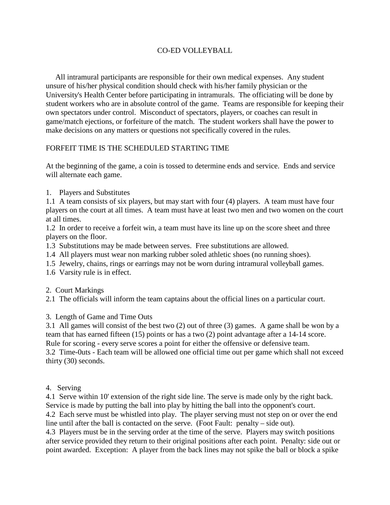## CO-ED VOLLEYBALL

 All intramural participants are responsible for their own medical expenses. Any student unsure of his/her physical condition should check with his/her family physician or the University's Health Center before participating in intramurals. The officiating will be done by student workers who are in absolute control of the game. Teams are responsible for keeping their own spectators under control. Misconduct of spectators, players, or coaches can result in game/match ejections, or forfeiture of the match. The student workers shall have the power to make decisions on any matters or questions not specifically covered in the rules.

## FORFEIT TIME IS THE SCHEDULED STARTING TIME

At the beginning of the game, a coin is tossed to determine ends and service. Ends and service will alternate each game.

1. Players and Substitutes

1.1 A team consists of six players, but may start with four (4) players. A team must have four players on the court at all times. A team must have at least two men and two women on the court at all times.

1.2 In order to receive a forfeit win, a team must have its line up on the score sheet and three players on the floor.

1.3 Substitutions may be made between serves. Free substitutions are allowed.

1.4 All players must wear non marking rubber soled athletic shoes (no running shoes).

1.5 Jewelry, chains, rings or earrings may not be worn during intramural volleyball games.

1.6 Varsity rule is in effect.

2. Court Markings

2.1 The officials will inform the team captains about the official lines on a particular court.

## 3. Length of Game and Time Outs

3.1 All games will consist of the best two (2) out of three (3) games. A game shall be won by a team that has earned fifteen (15) points or has a two (2) point advantage after a 14-14 score. Rule for scoring - every serve scores a point for either the offensive or defensive team. 3.2 Time-0uts - Each team will be allowed one official time out per game which shall not exceed thirty (30) seconds.

4. Serving

4.1 Serve within 10' extension of the right side line. The serve is made only by the right back. Service is made by putting the ball into play by hitting the ball into the opponent's court.

4.2 Each serve must be whistled into play. The player serving must not step on or over the end line until after the ball is contacted on the serve. (Foot Fault: penalty – side out).

4.3 Players must be in the serving order at the time of the serve. Players may switch positions after service provided they return to their original positions after each point. Penalty: side out or point awarded. Exception: A player from the back lines may not spike the ball or block a spike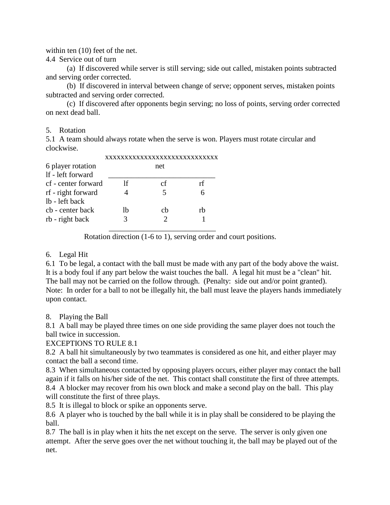within ten (10) feet of the net.

4.4 Service out of turn

 (a) If discovered while server is still serving; side out called, mistaken points subtracted and serving order corrected.

 (b) If discovered in interval between change of serve; opponent serves, mistaken points subtracted and serving order corrected.

 (c) If discovered after opponents begin serving; no loss of points, serving order corrected on next dead ball.

#### 5. Rotation

5.1 A team should always rotate when the serve is won. Players must rotate circular and clockwise.

| 6 player rotation   |    | net |    |
|---------------------|----|-----|----|
| If - left forward   |    |     |    |
| cf - center forward | Ħ  | сf  | rf |
| rf - right forward  |    |     |    |
| lb - left back      |    |     |    |
| cb - center back    | lb | ch  | rh |
| rb - right back     |    |     |    |
|                     |    |     |    |

Rotation direction (1-6 to 1), serving order and court positions.

### 6. Legal Hit

6.1 To be legal, a contact with the ball must be made with any part of the body above the waist. It is a body foul if any part below the waist touches the ball. A legal hit must be a "clean" hit. The ball may not be carried on the follow through. (Penalty: side out and/or point granted). Note: In order for a ball to not be illegally hit, the ball must leave the players hands immediately upon contact.

#### 8. Playing the Ball

8.1 A ball may be played three times on one side providing the same player does not touch the ball twice in succession.

#### EXCEPTIONS TO RULE 8.1

8.2 A ball hit simultaneously by two teammates is considered as one hit, and either player may contact the ball a second time.

8.3 When simultaneous contacted by opposing players occurs, either player may contact the ball again if it falls on his/her side of the net. This contact shall constitute the first of three attempts. 8.4 A blocker may recover from his own block and make a second play on the ball. This play will constitute the first of three plays.

8.5 It is illegal to block or spike an opponents serve.

8.6 A player who is touched by the ball while it is in play shall be considered to be playing the ball.

8.7 The ball is in play when it hits the net except on the serve. The server is only given one attempt. After the serve goes over the net without touching it, the ball may be played out of the net.